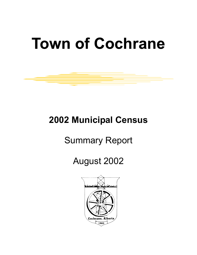# **Town of Cochrane**

### **2002 Municipal Census**

## Summary Report

### August 2002

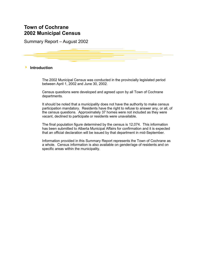Summary Report – August 2002

#### 4 **Introduction**

The 2002 Municipal Census was conducted in the provincially legislated period between April 1, 2002 and June 30, 2002.

Census questions were developed and agreed upon by all Town of Cochrane departments.

It should be noted that a municipality does not have the authority to make census participation mandatory. Residents have the right to refuse to answer any, or all, of the census questions. Approximately 37 homes were not included as they were vacant, declined to participate or residents were unavailable.

The final population figure determined by the census is 12,074. This information has been submitted to Alberta Municipal Affairs for confirmation and it is expected that an official declaration will be issued by that department in mid-September.

Information provided in this Summary Report represents the Town of Cochrane as a whole. Census information is also available on gender/age of residents and on specific areas within the municipality.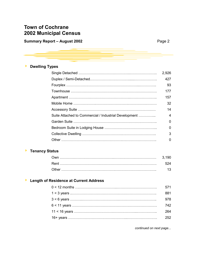| <b>Summary Report - August 2002</b> | Page 2 |
|-------------------------------------|--------|
|                                     |        |

| r |  |
|---|--|
|---|--|

|  |  | <b>Dwelling Types</b> |
|--|--|-----------------------|
|--|--|-----------------------|

|                                                       | 2,926        |
|-------------------------------------------------------|--------------|
|                                                       | 427          |
|                                                       | 93           |
|                                                       | 177          |
|                                                       | 157          |
|                                                       | 32           |
|                                                       | 14           |
| Suite Attached to Commercial / Industrial Development | 4            |
|                                                       | <sup>0</sup> |
|                                                       | ∩            |
|                                                       | 3            |
|                                                       | 0            |

#### 4 **Tenancy Status**

| Other |  |
|-------|--|

#### 4 **Length of Residence at Current Address**

| 571 |
|-----|
| 881 |
| 978 |
| 742 |
| 264 |
| つらつ |

*continued on next page...*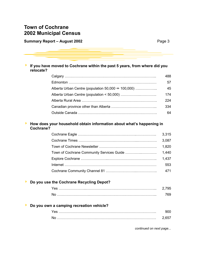#### **Summary Report – August 2002 Page 3**

| If you have moved to Cochrane within the past 5 years, from where did you<br>relocate? |     |
|----------------------------------------------------------------------------------------|-----|
|                                                                                        | 488 |
|                                                                                        | 57  |
| Alberta Urban Centre (population $50,000 \leftrightarrow 100,000$ )                    | 45  |
|                                                                                        | 174 |
|                                                                                        | 224 |
|                                                                                        | 334 |
|                                                                                        | 64  |

#### **▶ How does your household obtain information about what's happening in Cochrane?**

| 3,315 |
|-------|
| 3,087 |
| 1,820 |
| 1,440 |
| 1.437 |
| 553   |
| 471   |

#### 4 **Do you use the Cochrane Recycling Depot?**

#### 4 **Do you own a camping recreation vehicle?**

*continued on next page...*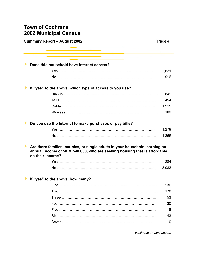| <b>Summary Report - August 2002</b>                                                                                                                                            | Page 4 |
|--------------------------------------------------------------------------------------------------------------------------------------------------------------------------------|--------|
| Does this household have Internet access?                                                                                                                                      |        |
|                                                                                                                                                                                | 2,621  |
|                                                                                                                                                                                | 916    |
| If "yes" to the above, which type of access to you use?                                                                                                                        |        |
|                                                                                                                                                                                | 849    |
|                                                                                                                                                                                | 454    |
|                                                                                                                                                                                | 1,215  |
|                                                                                                                                                                                | 169    |
| Do you use the Internet to make purchases or pay bills?                                                                                                                        |        |
|                                                                                                                                                                                | 1,279  |
|                                                                                                                                                                                | 1,366  |
| Are there families, couples, or single adults in your household, earning an<br>annual income of \$0 ↔ \$40,000, who are seeking housing that is affordable<br>on their income? |        |
|                                                                                                                                                                                | 384    |
|                                                                                                                                                                                | 3,083  |
| If "yes" to the above, how many?                                                                                                                                               |        |
|                                                                                                                                                                                | 236    |
|                                                                                                                                                                                | 178    |
|                                                                                                                                                                                | 53     |
|                                                                                                                                                                                | 30     |
|                                                                                                                                                                                | 18     |
|                                                                                                                                                                                | 43     |
|                                                                                                                                                                                | 0      |
|                                                                                                                                                                                |        |

*continued on next page...*